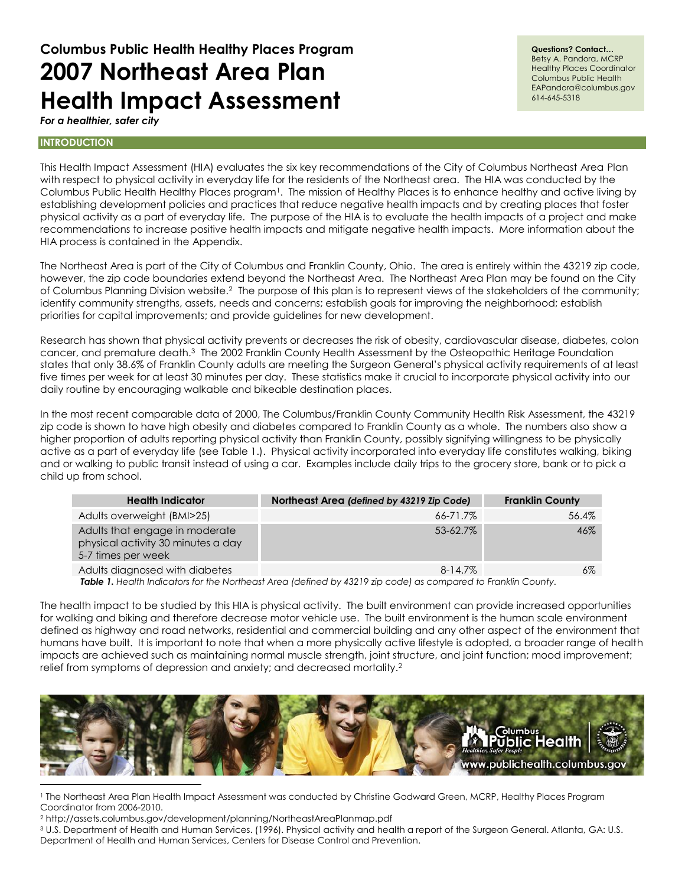# **Columbus Public Health Healthy Places Program 2007 Northeast Area Plan Health Impact Assessment**

#### **Questions? Contact…**

Betsy A. Pandora, MCRP Healthy Places Coordinator Columbus Public Health EAPandora@columbus.gov 614-645-5318

*For a healthier, safer city* 

# **INTRODUCTION**

This Health Impact Assessment (HIA) evaluates the six key recommendations of the City of Columbus Northeast Area Plan with respect to physical activity in everyday life for the residents of the Northeast area. The HIA was conducted by the Columbus Public Health Healthy Places program<sup>1</sup>. The mission of Healthy Places is to enhance healthy and active living by establishing development policies and practices that reduce negative health impacts and by creating places that foster physical activity as a part of everyday life. The purpose of the HIA is to evaluate the health impacts of a project and make recommendations to increase positive health impacts and mitigate negative health impacts. More information about the HIA process is contained in the Appendix.

The Northeast Area is part of the City of Columbus and Franklin County, Ohio. The area is entirely within the 43219 zip code, however, the zip code boundaries extend beyond the Northeast Area. The Northeast Area Plan may be found on the City of Columbus Planning Division website.<sup>2</sup> The purpose of this plan is to represent views of the stakeholders of the community; identify community strengths, assets, needs and concerns; establish goals for improving the neighborhood; establish priorities for capital improvements; and provide guidelines for new development.

Research has shown that physical activity prevents or decreases the risk of obesity, cardiovascular disease, diabetes, colon cancer, and premature death.<sup>3</sup> The 2002 Franklin County Health Assessment by the Osteopathic Heritage Foundation states that only 38.6% of Franklin County adults are meeting the Surgeon General's physical activity requirements of at least five times per week for at least 30 minutes per day. These statistics make it crucial to incorporate physical activity into our daily routine by encouraging walkable and bikeable destination places.

In the most recent comparable data of 2000, The Columbus/Franklin County Community Health Risk Assessment, the 43219 zip code is shown to have high obesity and diabetes compared to Franklin County as a whole. The numbers also show a higher proportion of adults reporting physical activity than Franklin County, possibly signifying willingness to be physically active as a part of everyday life (see Table 1.). Physical activity incorporated into everyday life constitutes walking, biking and or walking to public transit instead of using a car. Examples include daily trips to the grocery store, bank or to pick a child up from school.

| <b>Health Indicator</b>                                                                    | Northeast Area (defined by 43219 Zip Code) | <b>Franklin County</b> |
|--------------------------------------------------------------------------------------------|--------------------------------------------|------------------------|
| Adults overweight (BMI>25)                                                                 | 66-71.7%                                   | 56.4%                  |
| Adults that engage in moderate<br>physical activity 30 minutes a day<br>5-7 times per week | 53-62.7%                                   | $46\%$                 |
| Adults diagnosed with diabetes                                                             | $8 - 14.7\%$                               | 6%                     |

*Table 1. Health Indicators for the Northeast Area (defined by 43219 zip code) as compared to Franklin County.*

The health impact to be studied by this HIA is physical activity. The built environment can provide increased opportunities for walking and biking and therefore decrease motor vehicle use. The built environment is the human scale environment defined as highway and road networks, residential and commercial building and any other aspect of the environment that humans have built. It is important to note that when a more physically active lifestyle is adopted, a broader range of health impacts are achieved such as maintaining normal muscle strength, joint structure, and joint function; mood improvement; relief from symptoms of depression and anxiety; and decreased mortality.<sup>2</sup>



<sup>1</sup> The Northeast Area Plan Health Impact Assessment was conducted by Christine Godward Green, MCRP, Healthy Places Program Coordinator from 2006-2010.

<sup>2</sup> http://assets.columbus.gov/development/planning/NortheastAreaPlanmap.pdf

<sup>3</sup> U.S. Department of Health and Human Services. (1996). Physical activity and health a report of the Surgeon General. Atlanta, GA: U.S. Department of Health and Human Services, Centers for Disease Control and Prevention.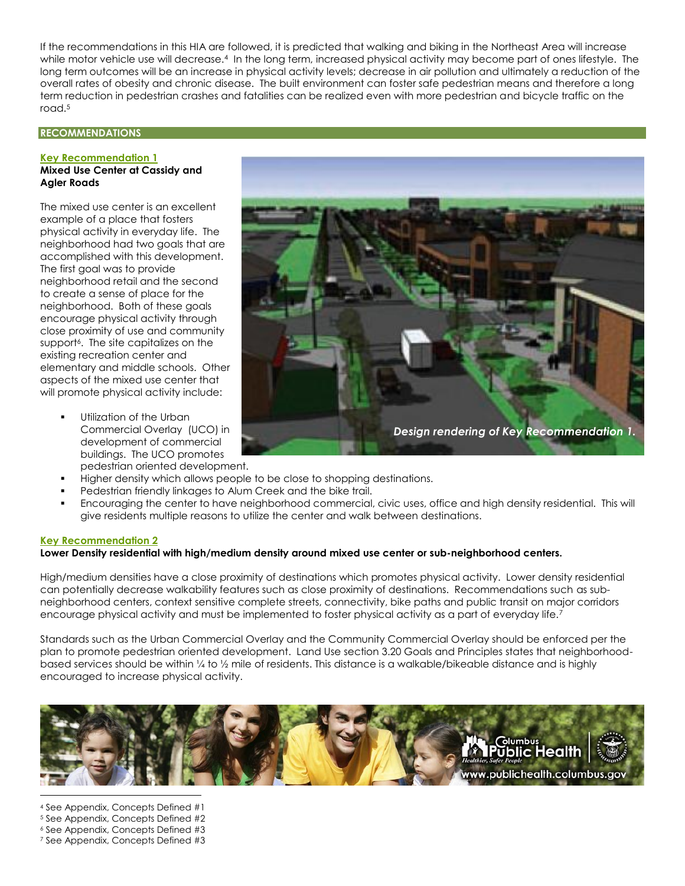If the recommendations in this HIA are followed, it is predicted that walking and biking in the Northeast Area will increase while motor vehicle use will decrease.<sup>4</sup> In the long term, increased physical activity may become part of ones lifestyle. The long term outcomes will be an increase in physical activity levels; decrease in air pollution and ultimately a reduction of the overall rates of obesity and chronic disease. The built environment can foster safe pedestrian means and therefore a long term reduction in pedestrian crashes and fatalities can be realized even with more pedestrian and bicycle traffic on the road.<sup>5</sup>

#### **RECOMMENDATIONS**

#### **Key Recommendation 1 Mixed Use Center at Cassidy and**

# **Agler Roads**

The mixed use center is an excellent example of a place that fosters physical activity in everyday life. The neighborhood had two goals that are accomplished with this development. The first goal was to provide neighborhood retail and the second to create a sense of place for the neighborhood. Both of these goals encourage physical activity through close proximity of use and community support<sup>6</sup> . The site capitalizes on the existing recreation center and elementary and middle schools. Other aspects of the mixed use center that will promote physical activity include:

- Utilization of the Urban Commercial Overlay (UCO) in development of commercial buildings. The UCO promotes pedestrian oriented development.
- Higher density which allows people to be close to shopping destinations.
- Pedestrian friendly linkages to Alum Creek and the bike trail.
- Encouraging the center to have neighborhood commercial, civic uses, office and high density residential. This will give residents multiple reasons to utilize the center and walk between destinations.

#### **Key Recommendation 2**

#### **Lower Density residential with high/medium density around mixed use center or sub-neighborhood centers.**

High/medium densities have a close proximity of destinations which promotes physical activity. Lower density residential can potentially decrease walkability features such as close proximity of destinations. Recommendations such as subneighborhood centers, context sensitive complete streets, connectivity, bike paths and public transit on major corridors encourage physical activity and must be implemented to foster physical activity as a part of everyday life.<sup>7</sup>

Standards such as the Urban Commercial Overlay and the Community Commercial Overlay should be enforced per the plan to promote pedestrian oriented development. Land Use section 3.20 Goals and Principles states that neighborhoodbased services should be within ¼ to ½ mile of residents. This distance is a walkable/bikeable distance and is highly encouraged to increase physical activity.



- <sup>4</sup> See Appendix, Concepts Defined #1
- <sup>5</sup> See Appendix, Concepts Defined #2
- <sup>6</sup> See Appendix, Concepts Defined #3 <sup>7</sup> See Appendix, Concepts Defined #3

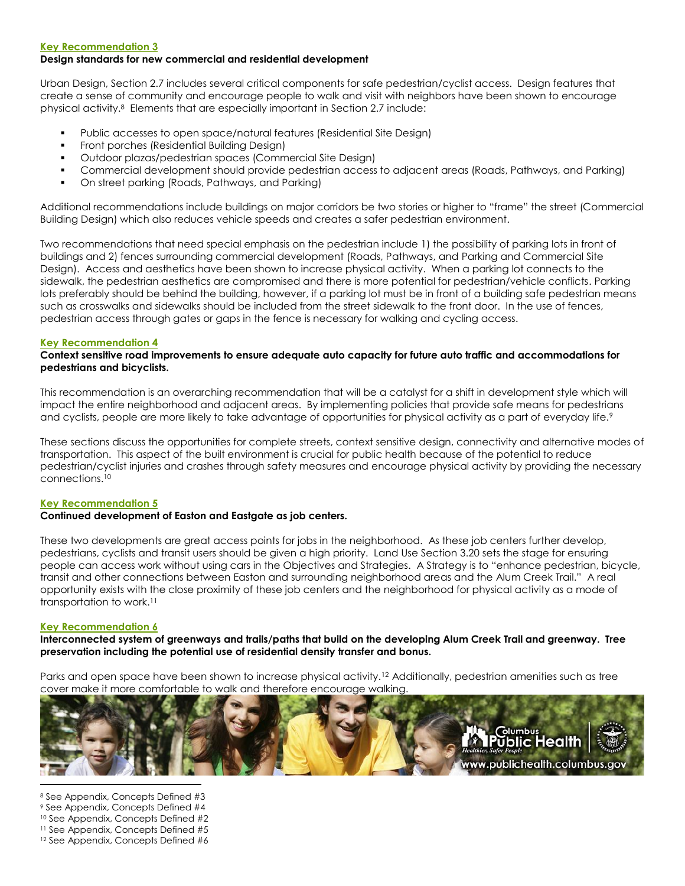#### **Key Recommendation 3**

# **Design standards for new commercial and residential development**

Urban Design, Section 2.7 includes several critical components for safe pedestrian/cyclist access. Design features that create a sense of community and encourage people to walk and visit with neighbors have been shown to encourage physical activity.<sup>8</sup> Elements that are especially important in Section 2.7 include:

- Public accesses to open space/natural features (Residential Site Design)
- Front porches (Residential Building Design)
- Outdoor plazas/pedestrian spaces (Commercial Site Design)
- Commercial development should provide pedestrian access to adjacent areas (Roads, Pathways, and Parking)
- On street parking (Roads, Pathways, and Parking)

Additional recommendations include buildings on major corridors be two stories or higher to "frame" the street (Commercial Building Design) which also reduces vehicle speeds and creates a safer pedestrian environment.

Two recommendations that need special emphasis on the pedestrian include 1) the possibility of parking lots in front of buildings and 2) fences surrounding commercial development (Roads, Pathways, and Parking and Commercial Site Design). Access and aesthetics have been shown to increase physical activity. When a parking lot connects to the sidewalk, the pedestrian aesthetics are compromised and there is more potential for pedestrian/vehicle conflicts. Parking lots preferably should be behind the building, however, if a parking lot must be in front of a building safe pedestrian means such as crosswalks and sidewalks should be included from the street sidewalk to the front door. In the use of fences, pedestrian access through gates or gaps in the fence is necessary for walking and cycling access.

#### **Key Recommendation 4**

# **Context sensitive road improvements to ensure adequate auto capacity for future auto traffic and accommodations for pedestrians and bicyclists.**

This recommendation is an overarching recommendation that will be a catalyst for a shift in development style which will impact the entire neighborhood and adjacent areas. By implementing policies that provide safe means for pedestrians and cyclists, people are more likely to take advantage of opportunities for physical activity as a part of everyday life.<sup>9</sup>

These sections discuss the opportunities for complete streets, context sensitive design, connectivity and alternative modes of transportation. This aspect of the built environment is crucial for public health because of the potential to reduce pedestrian/cyclist injuries and crashes through safety measures and encourage physical activity by providing the necessary connections.<sup>10</sup>

#### **Key Recommendation 5**

# **Continued development of Easton and Eastgate as job centers.**

These two developments are great access points for jobs in the neighborhood. As these job centers further develop, pedestrians, cyclists and transit users should be given a high priority. Land Use Section 3.20 sets the stage for ensuring people can access work without using cars in the Objectives and Strategies. A Strategy is to "enhance pedestrian, bicycle, transit and other connections between Easton and surrounding neighborhood areas and the Alum Creek Trail." A real opportunity exists with the close proximity of these job centers and the neighborhood for physical activity as a mode of transportation to work.<sup>11</sup>

#### **Key Recommendation 6**

**Interconnected system of greenways and trails/paths that build on the developing Alum Creek Trail and greenway. Tree preservation including the potential use of residential density transfer and bonus.**

Parks and open space have been shown to increase physical activity.<sup>12</sup> Additionally, pedestrian amenities such as tree cover make it more comfortable to walk and therefore encourage walking.



 $\overline{a}$  See Appendix, Concepts Defined #3 See Appendix, Concepts Defined #4 See Appendix, Concepts Defined #2 See Appendix, Concepts Defined #5 See Appendix, Concepts Defined #6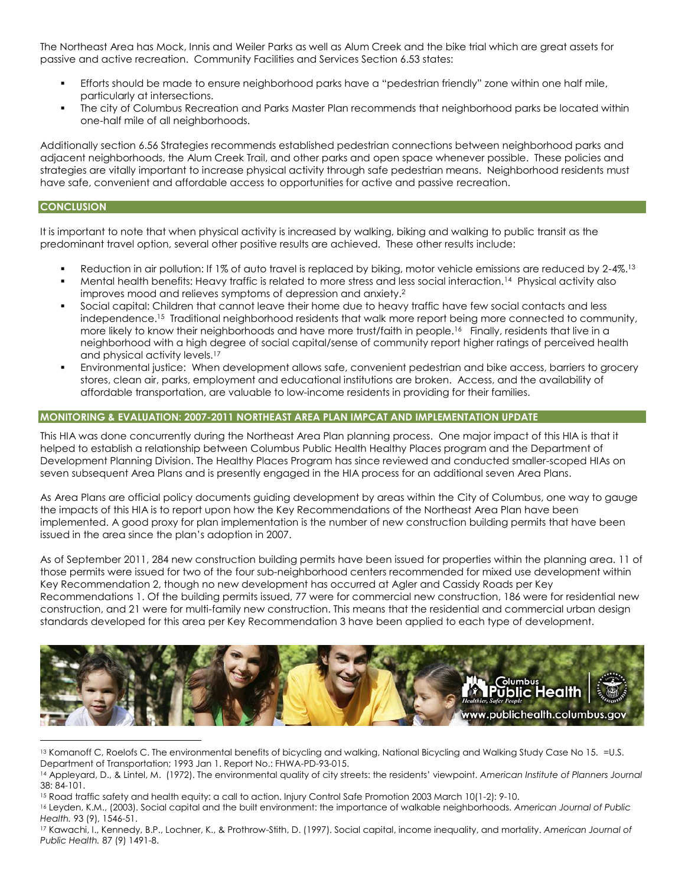The Northeast Area has Mock, Innis and Weiler Parks as well as Alum Creek and the bike trial which are great assets for passive and active recreation. Community Facilities and Services Section 6.53 states:

- Efforts should be made to ensure neighborhood parks have a "pedestrian friendly" zone within one half mile, particularly at intersections.
- The city of Columbus Recreation and Parks Master Plan recommends that neighborhood parks be located within one-half mile of all neighborhoods.

Additionally section 6.56 Strategies recommends established pedestrian connections between neighborhood parks and adjacent neighborhoods, the Alum Creek Trail, and other parks and open space whenever possible. These policies and strategies are vitally important to increase physical activity through safe pedestrian means. Neighborhood residents must have safe, convenient and affordable access to opportunities for active and passive recreation.

### **CONCLUSION**

 $\overline{a}$ 

It is important to note that when physical activity is increased by walking, biking and walking to public transit as the predominant travel option, several other positive results are achieved. These other results include:

- Reduction in air pollution: If 1% of auto travel is replaced by biking, motor vehicle emissions are reduced by 2-4%.<sup>13</sup>
- Mental health benefits: Heavy traffic is related to more stress and less social interaction.<sup>14</sup> Physical activity also improves mood and relieves symptoms of depression and anxiety.<sup>2</sup>
- Social capital: Children that cannot leave their home due to heavy traffic have few social contacts and less independence.<sup>15</sup> Traditional neighborhood residents that walk more report being more connected to community, more likely to know their neighborhoods and have more trust/faith in people.<sup>16</sup> Finally, residents that live in a neighborhood with a high degree of social capital/sense of community report higher ratings of perceived health and physical activity levels.<sup>17</sup>
- Environmental justice: When development allows safe, convenient pedestrian and bike access, barriers to grocery stores, clean air, parks, employment and educational institutions are broken. Access, and the availability of affordable transportation, are valuable to low-income residents in providing for their families.

# **MONITORING & EVALUATION: 2007-2011 NORTHEAST AREA PLAN IMPCAT AND IMPLEMENTATION UPDATE**

This HIA was done concurrently during the Northeast Area Plan planning process. One major impact of this HIA is that it helped to establish a relationship between Columbus Public Health Healthy Places program and the Department of Development Planning Division. The Healthy Places Program has since reviewed and conducted smaller-scoped HIAs on seven subsequent Area Plans and is presently engaged in the HIA process for an additional seven Area Plans.

As Area Plans are official policy documents guiding development by areas within the City of Columbus, one way to gauge the impacts of this HIA is to report upon how the Key Recommendations of the Northeast Area Plan have been implemented. A good proxy for plan implementation is the number of new construction building permits that have been issued in the area since the plan's adoption in 2007.

As of September 2011, 284 new construction building permits have been issued for properties within the planning area. 11 of those permits were issued for two of the four sub-neighborhood centers recommended for mixed use development within Key Recommendation 2, though no new development has occurred at Agler and Cassidy Roads per Key Recommendations 1. Of the building permits issued, 77 were for commercial new construction, 186 were for residential new construction, and 21 were for multi-family new construction. This means that the residential and commercial urban design standards developed for this area per Key Recommendation 3 have been applied to each type of development.



<sup>13</sup> Komanoff C, Roelofs C. The environmental benefits of bicycling and walking, National Bicycling and Walking Study Case No 15. =U.S. Department of Transportation; 1993 Jan 1. Report No.: FHWA-PD-93-015.

<sup>14</sup> Appleyard, D., & Lintel, M. (1972). The environmental quality of city streets: the residents' viewpoint. *American Institute of Planners Journal*   $38: 84 - 101$ 

<sup>15</sup> Road traffic safety and health equity: a call to action. Injury Control Safe Promotion 2003 March 10(1-2): 9-10.

<sup>16</sup> Leyden, K.M., (2003). Social capital and the built environment: the importance of walkable neighborhoods. *American Journal of Public Health.* 93 (9), 1546-51.

<sup>17</sup> Kawachi, I., Kennedy, B.P., Lochner, K., & Prothrow-Stith, D. (1997). Social capital, income inequality, and mortality. *American Journal of Public Health.* 87 (9) 1491-8.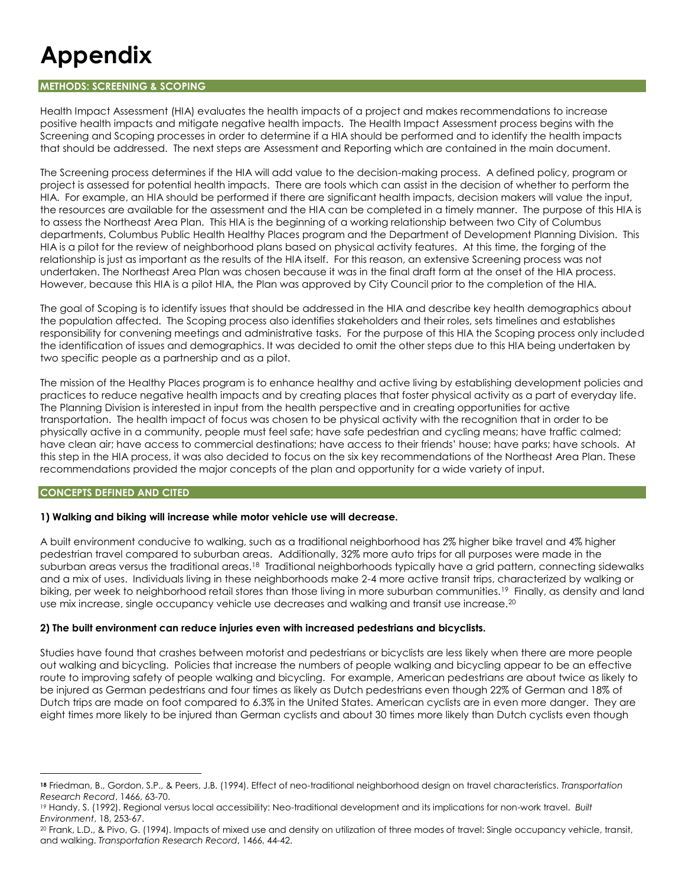# **Appendix**

# **METHODS: SCREENING & SCOPING**

Health Impact Assessment (HIA) evaluates the health impacts of a project and makes recommendations to increase positive health impacts and mitigate negative health impacts. The Health Impact Assessment process begins with the Screening and Scoping processes in order to determine if a HIA should be performed and to identify the health impacts that should be addressed. The next steps are Assessment and Reporting which are contained in the main document.

The Screening process determines if the HIA will add value to the decision-making process. A defined policy, program or project is assessed for potential health impacts. There are tools which can assist in the decision of whether to perform the HIA. For example, an HIA should be performed if there are significant health impacts, decision makers will value the input, the resources are available for the assessment and the HIA can be completed in a timely manner. The purpose of this HIA is to assess the Northeast Area Plan. This HIA is the beginning of a working relationship between two City of Columbus departments, Columbus Public Health Healthy Places program and the Department of Development Planning Division. This HIA is a pilot for the review of neighborhood plans based on physical activity features. At this time, the forging of the relationship is just as important as the results of the HIA itself. For this reason, an extensive Screening process was not undertaken. The Northeast Area Plan was chosen because it was in the final draft form at the onset of the HIA process. However, because this HIA is a pilot HIA, the Plan was approved by City Council prior to the completion of the HIA.

The goal of Scoping is to identify issues that should be addressed in the HIA and describe key health demographics about the population affected. The Scoping process also identifies stakeholders and their roles, sets timelines and establishes responsibility for convening meetings and administrative tasks. For the purpose of this HIA the Scoping process only included the identification of issues and demographics. It was decided to omit the other steps due to this HIA being undertaken by two specific people as a partnership and as a pilot.

The mission of the Healthy Places program is to enhance healthy and active living by establishing development policies and practices to reduce negative health impacts and by creating places that foster physical activity as a part of everyday life. The Planning Division is interested in input from the health perspective and in creating opportunities for active transportation. The health impact of focus was chosen to be physical activity with the recognition that in order to be physically active in a community, people must feel safe; have safe pedestrian and cycling means; have traffic calmed; have clean air; have access to commercial destinations; have access to their friends' house; have parks; have schools. At this step in the HIA process, it was also decided to focus on the six key recommendations of the Northeast Area Plan. These recommendations provided the major concepts of the plan and opportunity for a wide variety of input.

# **CONCEPTS DEFINED AND CITED**

 $\overline{a}$ 

# **1) Walking and biking will increase while motor vehicle use will decrease.**

A built environment conducive to walking, such as a traditional neighborhood has 2% higher bike travel and 4% higher pedestrian travel compared to suburban areas. Additionally, 32% more auto trips for all purposes were made in the suburban areas versus the traditional areas.<sup>18</sup> Traditional neighborhoods typically have a grid pattern, connecting sidewalks and a mix of uses. Individuals living in these neighborhoods make 2-4 more active transit trips, characterized by walking or biking, per week to neighborhood retail stores than those living in more suburban communities.<sup>19</sup> Finally, as density and land use mix increase, single occupancy vehicle use decreases and walking and transit use increase.<sup>20</sup>

# **2) The built environment can reduce injuries even with increased pedestrians and bicyclists.**

Studies have found that crashes between motorist and pedestrians or bicyclists are less likely when there are more people out walking and bicycling. Policies that increase the numbers of people walking and bicycling appear to be an effective route to improving safety of people walking and bicycling. For example, American pedestrians are about twice as likely to be injured as German pedestrians and four times as likely as Dutch pedestrians even though 22% of German and 18% of Dutch trips are made on foot compared to 6.3% in the United States. American cyclists are in even more danger. They are eight times more likely to be injured than German cyclists and about 30 times more likely than Dutch cyclists even though

**<sup>18</sup>** Friedman, B., Gordon, S.P., & Peers, J.B. (1994). Effect of neo-traditional neighborhood design on travel characteristics. *Transportation Research Record*, 1466, 63-70.

<sup>19</sup> Handy, S. (1992). Regional versus local accessibility: Neo-traditional development and its implications for non-work travel. *Built Environment*, 18, 253-67.

<sup>20</sup> Frank, L.D., & Pivo, G. (1994). Impacts of mixed use and density on utilization of three modes of travel: Single occupancy vehicle, transit, and walking. *Transportation Research Record*, 1466, 44-42.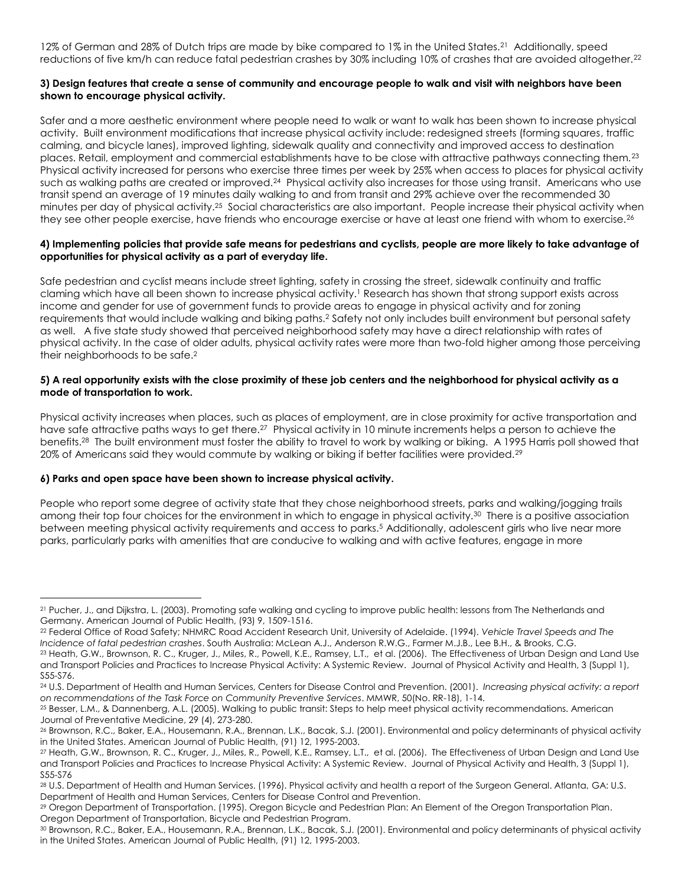12% of German and 28% of Dutch trips are made by bike compared to 1% in the United States.<sup>21</sup> Additionally, speed reductions of five km/h can reduce fatal pedestrian crashes by 30% including 10% of crashes that are avoided altogether.<sup>22</sup>

# **3) Design features that create a sense of community and encourage people to walk and visit with neighbors have been shown to encourage physical activity.**

Safer and a more aesthetic environment where people need to walk or want to walk has been shown to increase physical activity. Built environment modifications that increase physical activity include: redesigned streets (forming squares, traffic calming, and bicycle lanes), improved lighting, sidewalk quality and connectivity and improved access to destination places. Retail, employment and commercial establishments have to be close with attractive pathways connecting them. $^{23}$ Physical activity increased for persons who exercise three times per week by 25% when access to places for physical activity such as walking paths are created or improved.<sup>24</sup> Physical activity also increases for those using transit. Americans who use transit spend an average of 19 minutes daily walking to and from transit and 29% achieve over the recommended 30 minutes per day of physical activity.<sup>25</sup> Social characteristics are also important. People increase their physical activity when they see other people exercise, have friends who encourage exercise or have at least one friend with whom to exercise.<sup>26</sup>

# **4) Implementing policies that provide safe means for pedestrians and cyclists, people are more likely to take advantage of opportunities for physical activity as a part of everyday life.**

Safe pedestrian and cyclist means include street lighting, safety in crossing the street, sidewalk continuity and traffic claming which have all been shown to increase physical activity.<sup>1</sup> Research has shown that strong support exists across income and gender for use of government funds to provide areas to engage in physical activity and for zoning requirements that would include walking and biking paths.<sup>2</sup> Safety not only includes built environment but personal safety as well. A five state study showed that perceived neighborhood safety may have a direct relationship with rates of physical activity. In the case of older adults, physical activity rates were more than two-fold higher among those perceiving their neighborhoods to be safe. 2

# **5) A real opportunity exists with the close proximity of these job centers and the neighborhood for physical activity as a mode of transportation to work.**

Physical activity increases when places, such as places of employment, are in close proximity for active transportation and have safe attractive paths ways to get there.<sup>27</sup> Physical activity in 10 minute increments helps a person to achieve the benefits.<sup>28</sup> The built environment must foster the ability to travel to work by walking or biking. A 1995 Harris poll showed that 20% of Americans said they would commute by walking or biking if better facilities were provided.<sup>29</sup>

# **6) Parks and open space have been shown to increase physical activity.**

 $\overline{a}$ 

People who report some degree of activity state that they chose neighborhood streets, parks and walking/jogging trails among their top four choices for the environment in which to engage in physical activity.<sup>30</sup> There is a positive association between meeting physical activity requirements and access to parks.<sup>5</sup> Additionally, adolescent girls who live near more parks, particularly parks with amenities that are conducive to walking and with active features, engage in more

<sup>21</sup> Pucher, J., and Dijkstra, L. (2003). Promoting safe walking and cycling to improve public health: lessons from The Netherlands and Germany. American Journal of Public Health, (93) 9, 1509-1516.

<sup>22</sup> Federal Office of Road Safety; NHMRC Road Accident Research Unit, University of Adelaide. (1994). *Vehicle Travel Speeds and The Incidence of fatal pedestrian crashes*. South Australia: McLean A.J., Anderson R.W.G., Farmer M.J.B., Lee B.H., & Brooks, C.G. <sup>23</sup> Heath, G.W., Brownson, R. C., Kruger, J., Miles, R., Powell, K.E., Ramsey, L.T., et al. (2006). The Effectiveness of Urban Design and Land Use and Transport Policies and Practices to Increase Physical Activity: A Systemic Review. Journal of Physical Activity and Health, 3 (Suppl 1), S55-S76.

<sup>24</sup> U.S. Department of Health and Human Services, Centers for Disease Control and Prevention. (2001). *Increasing physical activity: a report on recommendations of the Task Force on Community Preventive Services*. MMWR, 50(No. RR-18), 1-14.

<sup>25</sup> Besser, L.M., & Dannenberg, A.L. (2005). Walking to public transit: Steps to help meet physical activity recommendations. American Journal of Preventative Medicine, 29 (4), 273-280.

<sup>26</sup> Brownson, R.C., Baker, E.A., Housemann, R.A., Brennan, L.K., Bacak, S.J. (2001). Environmental and policy determinants of physical activity in the United States. American Journal of Public Health, (91) 12, 1995-2003.

<sup>27</sup> Heath, G.W., Brownson, R. C., Kruger, J., Miles, R., Powell, K.E., Ramsey, L.T., et al. (2006). The Effectiveness of Urban Design and Land Use and Transport Policies and Practices to Increase Physical Activity: A Systemic Review. Journal of Physical Activity and Health, 3 (Suppl 1), S55-S76

<sup>28</sup> U.S. Department of Health and Human Services. (1996). Physical activity and health a report of the Surgeon General. Atlanta, GA: U.S. Department of Health and Human Services, Centers for Disease Control and Prevention.

<sup>29</sup> Oregon Department of Transportation. (1995). Oregon Bicycle and Pedestrian Plan: An Element of the Oregon Transportation Plan. Oregon Department of Transportation, Bicycle and Pedestrian Program.

<sup>30</sup> Brownson, R.C., Baker, E.A., Housemann, R.A., Brennan, L.K., Bacak, S.J. (2001). Environmental and policy determinants of physical activity in the United States. American Journal of Public Health, (91) 12, 1995-2003.